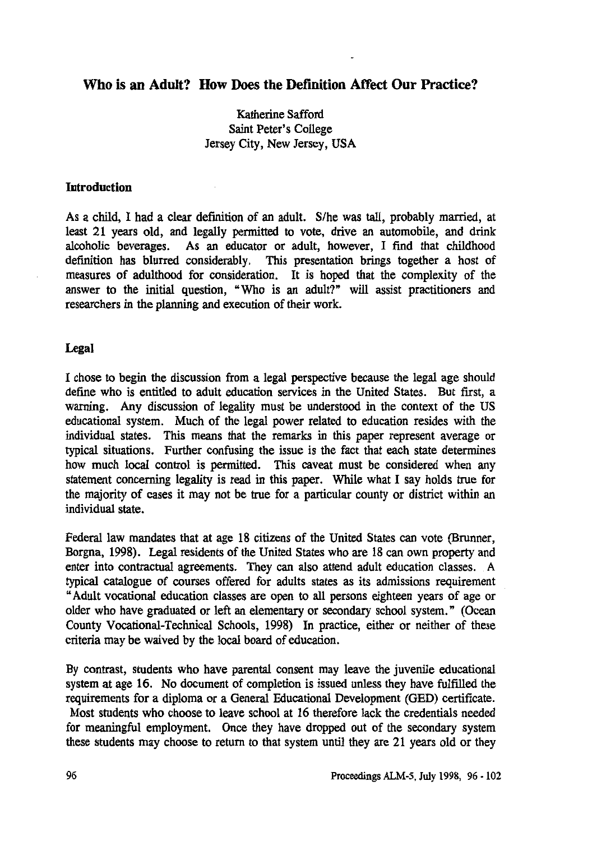## **Who is an Adult? How Does the Definition Affect Our Practice?**

## **Katherine Safford Saint Peter's College Jersey City, New Jersey, USA**

#### **Introduction**

**As a child, I had a clear definition of an adult. S/he was tall, probably married, at least 21 years old, and legally permitted to vote, drive an automobile, and drink alcoholic beverages. As an educator or adult, however, I find that childhood definition has blurred considerably. This presentation brings together a host of measures of adulthood for consideration. It is hoped that the complexity of the answer to the initial question, "Who is an adult?" will assist practitioners and researchers in the planning and execution of their work.**

#### **Legal**

**I chose to begin the discussion from a legal perspective because the legal age should define who is entitled to adult education services in the United States. But first, a warning. Any discussion of legality must be understood in the context of the US educational system. Much of the legal power related to education resides with the individual states. This means that the remarks in this paper represent average or typical situations. Further confusing the issue is the fact that each state determines how much local control is permitted. This caveat must be considered when any statement concerning legality is read in this paper. While what I say holds true for the majority of cases it may not be true for a particular county or district within an individual state.**

**Federal law mandates that at age 18 citizens of the United States can vote (Brunner, Borgna, 1998). Legal residents of the United States who are 18 can own property and enter into contractual agreements. They can also attend adult education classes. A typical catalogue of courses offered for adults states as its admissions requirement "Adult vocational education classes are open to all persons eighteen years of age or older who have graduated or left an elementary or secondary school system." (Ocean County Vocational-Technical Schools, 1998) In practice, either or neither of these criteria may be waived by the local board of education.**

**By contrast, students who have parental consent may leave the juvenile educational system at age 16. No document of completion is issued unless they have fulfilled the requirements for a diploma or a General Educational Development (GED) certificate. Most students who choose to leave school at 16 therefore lack the credentials needed for meaningful employment. Once they have dropped out of the secondary system these students may choose to return to that system until they are 21 years old or they**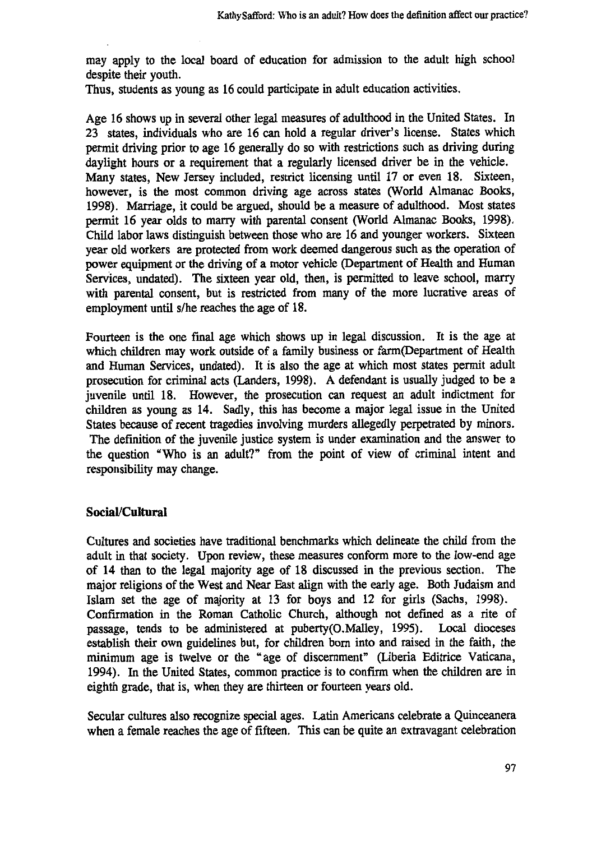may apply to the local board of education for admission to the adult high school despite their youth.

Thus, students as young as 16 could participate in adult education activities.

Age 16 shows up in several other legal measures of adulthood in the United States. In 23 states, individuals who are 16 can hold a regular driver's license. States which permit driving prior to age 16 generally do so with restrictions such as driving during daylight hours or a requirement that a regularly licensed driver be in the vehicle. Many states, New Jersey included, restrict licensing until 17 or even 18. Sixteen, however, is the most common driving age across states (World Almanac Books, 1998). Marriage, it could be argued, should be a measure of adulthood. Most states permit 16 year olds to marry with parental consent (World Almanac Books, 1998). Child labor laws distinguish between those who are 16 and younger workers. Sixteen year old workers are protected from work deemed dangerous such as the operation of power equipment or the driving of a motor vehicle (Department of Health and Human Services, undated). The sixteen year old, then, is permitted to leave school, marry with parental consent, but is restricted from many of the more lucrative areas of employment until s/he reaches the age of 18.

Fourteen is the one final age which shows up in legal discussion. It is the age at which children may work outside of a family business or farm(Department of Health and Human Services, undated). It is also the age at which most states permit adult prosecution for criminal acts (Landers, 1998). A defendant is usually judged to be a juvenile until 18. However, the prosecution can request an adult indictment for children as young as 14. Sadly, this has become a major legal issue in the United States because of recent tragedies involving murders allegedly perpetrated by minors. The definition of the juvenile justice system is under examination and the answer to the question "Who is an adult?" from the point of view of criminal intent and responsibility may change.

#### **Social/Cultural**

Cultures and societies have traditional benchmarks which delineate the child from the adult in that society. Upon review, these measures conform more to the low-end age of 14 than to the legal majority age of 18 discussed in the previous section. The major religions of the West and Near East align with the early age. Both Judaism and Islam set the age of majority at 13 for boys and 12 for girls (Sachs, 1998). Confirmation in the Roman Catholic Church, although not defined as a rite of passage, tends to be administered at puberty(O.Malley, 1995). Local dioceses establish their own guidelines but, for children born into and raised in the faith, the minimum age is twelve or the "age of discernment" (Liberia Editrice Vaticana, 1994). In the United States, common practice is to confirm when the children are in eighth grade, that is, when they are thirteen or fourteen years old.

Secular cultures also recognize special ages. Latin Americans celebrate a Quinceanera when a female reaches the age of fifteen. This can be quite an extravagant celebration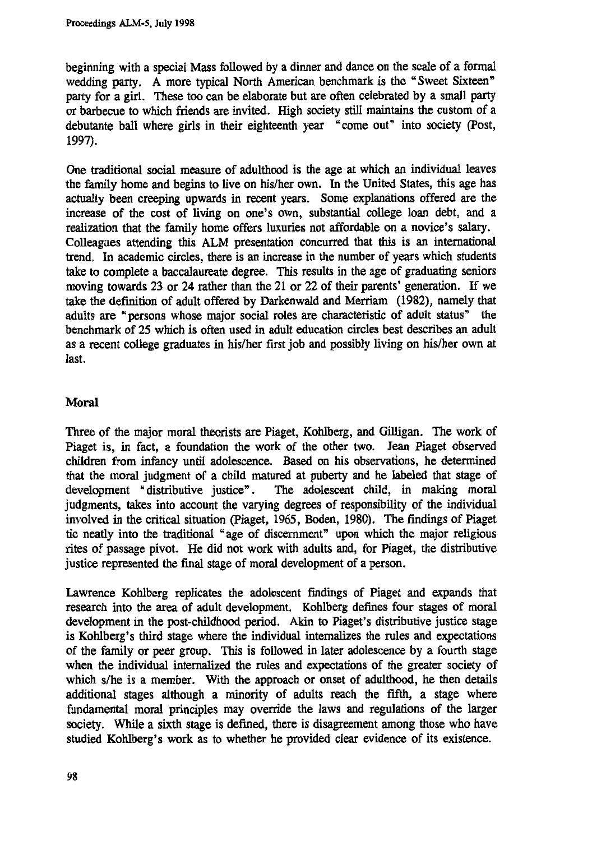**beginning with a special Mass followed by a dinner and dance on the scale of a formal wedding party. A more typical North American benchmark is the "Sweet Sixteen" party for a girl. These too can be elaborate but are often celebrated by a small party or barbecue to which friends are invited. High society still maintains the custom of a debutante ball where girls in their eighteenth year "come out" into society (Post, 1997).**

**One traditional social measure of adulthood is the age at which an individual leaves the family home and begins to live on his/her own. In the United States, this age has actually been creeping upwards in recent years. Some explanations offered are the increase of the cost of living on one's own, substantial college loan debt, and a realization that the family home offers luxuries not affordable on a novice's salary. Colleagues attending this ALM presentation concurred that this is an international trend. In academic circles, there is an increase in the number of years which students take to complete a baccalaureate degree. This results in the age of graduating seniors moving towards 23 or 24 rather than the 21 or 22 of their parents' generation. If we take the definition of adult offered by Darkenwald and Merriam (1982), namely that adults are "persons whose major social roles are characteristic of adult status" the benchmark of 25 which is often used in adult education circles best describes an adult as a recent college graduates in his/her first job and possibly living on his/her own at last.**

### **Moral**

**Three of the major moral theorists are Piaget, Kohlberg, and Gilligan. The work of Piaget is, in fact, a foundation the work of the other two. Jean Piaget observed children from infancy until adolescence. Based on his observations, he determined that the moral judgment of a child matured at puberty and he labeled that stage of development "distributive justice". The adolescent child, in making moral judgments, takes into account the varying degrees of responsibility of the individual involved in the critical situation (Piaget, 1965, Boden, 1980). The findings of Piaget tie neatly into the traditional "age of discernment" upon which the major religious rites of passage pivot. He did not work with adults and, for Piaget, the distributive justice represented the final stage of moral development of a person.**

**Lawrence Kohlberg replicates the adolescent findings of Piaget and expands that research into the area of adult development. Kohlberg defines four stages of moral development in the post-childhood period. Akin to Piaget's distributive justice stage is Kohlberg's third stage where the individual internalizes the rules and expectations of the family or peer group. This is followed in later adolescence by a fourth stage when the individual internalized the rules and expectations of the greater society of which s/he is a member. With the approach or onset of adulthood, he then details additional stages although a minority of adults reach the fifth, a stage where fundamental moral principles may override the laws and regulations of the larger society. While a sixth stage is defined, there is disagreement among those who have studied Kohlberg's work as to whether he provided clear evidence of its existence.**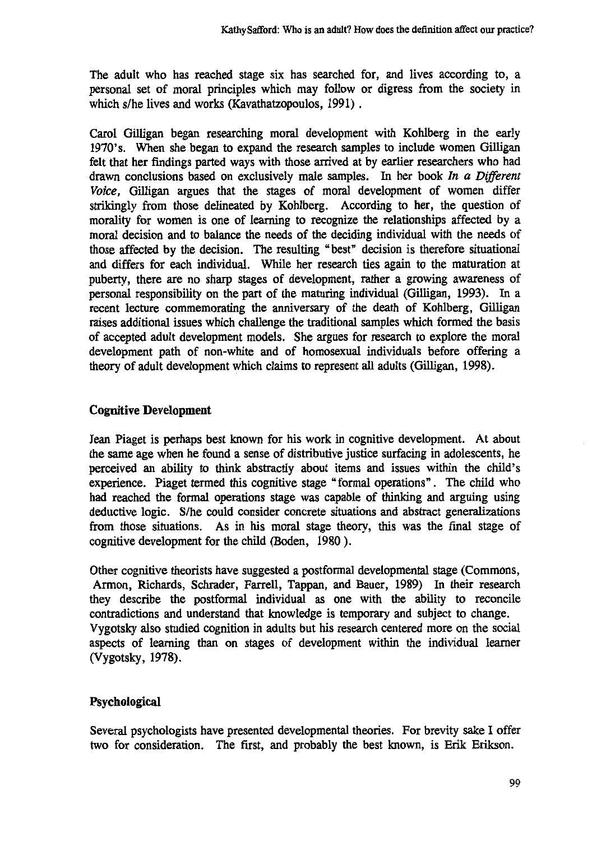**The adult who has reached stage six has searched for, and lives according to, a personal set of moral principles which may follow or digress from the society in which s/he lives and works (Kavathatzopoulos, 1991)**

**Carol Gilligan began researching moral development with Kohlberg in the early 1970's. When she began to expand the research samples to include women Gilligan felt that her findings parted ways with those arrived at by earlier researchers who had drawn conclusions based on exclusively male samples. In her book** *In a Different Voice,* **Gilligan argues that the stages of moral development of women differ strikingly from those delineated by Kohlberg. According to her, the question of morality for women is one of learning to recognize the relationships affected by a moral decision and to balance the needs of the deciding individual with the needs of those affected by the decision. The resulting "best" decision is therefore situational and differs for each individual. While her research ties again to the maturation at puberty, there are no sharp stages of development, rather a growing awareness of personal responsibility on the part of the maturing individual (Gilligan, 1993). In a recent lecture commemorating the anniversary of the death of Kohlberg, Gilligan raises additional issues which challenge the traditional samples which formed the basis of accepted adult development models. She argues for research to explore the moral development path of non-white and of homosexual individuals before offering a theory of adult development which claims to represent all adults (Gilligan, 1998).**

### **Cognitive Development**

**Jean Piaget is perhaps best known for his work in cognitive development. At about the same age when he found a sense of distributive justice surfacing in adolescents, he perceived an ability to think abstractly about items and issues within the child's experience. Piaget termed this cognitive stage "formal operations" . The child who had reached the formal operations stage was capable of thinking and arguing using deductive logic. S/he could consider concrete situations and abstract generalizations from those situations. As in his moral stage theory, this was the final stage of cognitive development for the child (Baden, 1980 ).**

**Other cognitive theorists have suggested a postformal developmental stage (Commons, Armon, Richards, Schrader, Farrell, Tappan, and Bauer, 1989) In their research they describe the postformal individual as one with the ability to reconcile contradictions and understand that knowledge is temporary and subject to change. Vygotsky also studied cognition in adults but his research centered more on the social aspects of learning than on stages of development within the individual learner (Vygotsky, 1978).**

# **Psychological**

**Several psychologists have presented developmental theories. For brevity sake I offer two for consideration. The first, and probably the best known, is Erik Erikson.**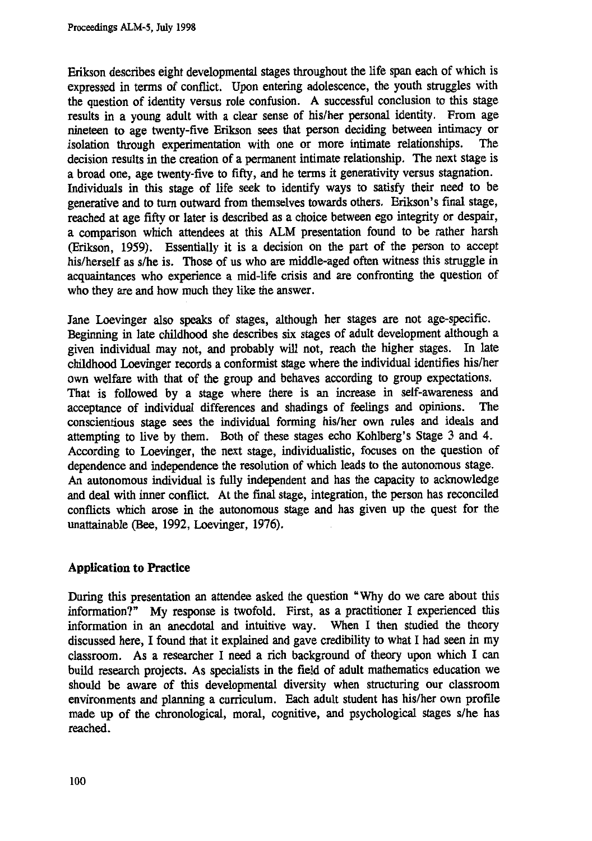**Erikson describes eight developmental stages throughout the life span each of which is expressed in terms of conflict. Upon entering adolescence, the youth struggles with the question of identity versus role confusion. A successful conclusion to this stage results in a young adult with a clear sense of his/her personal identity. From age** nineteen to age twenty-five Erikson sees that person deciding between intimacy or isolation through experimentation with one or more intimate relationships. The isolation through experimentation with one or more intimate relationships. **decision results in the creation of a permanent intimate relationship. The next stage is a broad one, age twenty-five to fifty, and he terms it generativity versus stagnation. Individuals in this stage of life seek to identify ways to satisfy their need to be generative and to turn outward from themselves towards others. Erikson's final stage, reached at age fifty or later is described as a choice between ego integrity or despair, a comparison which attendees at this ALM presentation found to be rather harsh (Erikson, 1959). Essentially it is a decision on the part of the person to accept his/herself as s/he is. Those of us who are middle-aged often witness this struggle in acquaintances who experience a mid-life crisis and are confronting the question of who they are and how much they like the answer.**

**Jane Loevinger also speaks of stages, although her stages are not age-specific. Beginning in late childhood she describes six stages of adult development although a given individual may not, and probably will not, reach the higher stages. In late childhood Loevinger records a conformist stage where the individual identifies his/her own welfare with that of the group and behaves according to group expectations.** That is followed by a stage where there is an increase in self-awareness and acceptance of individual differences and shadings of feelings and opinions. The **acceptance of individual differences and shadings of feelings and opinions. The conscientious stage sees the individual forming his/her own rules and ideals and attempting to live by them. Both of these stages echo Kohlberg's Stage 3 and 4. According to Loevinger, the next stage, individualistic, focuses on the question of dependence and independence the resolution of which leads to the autonomous stage. An autonomous individual is fully independent and has the capacity to acknowledge and deal with inner conflict. At the final stage, integration, the person has reconciled conflicts which arose in the autonomous stage and has given up the quest for the unattainable (Bee, 1992, Loevinger, 1976).**

# **Application to Practice**

**During this presentation an attendee asked the question "Why do we care about this information?" My response is twofold. First, as a practitioner I experienced this information in an anecdotal and intuitive way. When I then studied the theory discussed here, I found that it explained and gave credibility to what I had seen in my classroom. As a researcher I need a rich background of theory upon which I can build research projects. As specialists in the field of adult mathematics education we should be aware of this developmental diversity when structuring our classroom environments and planning a curriculum. Each adult student has his/her own profile made up of the chronological, moral, cognitive, and psychological stages s/he has reached.**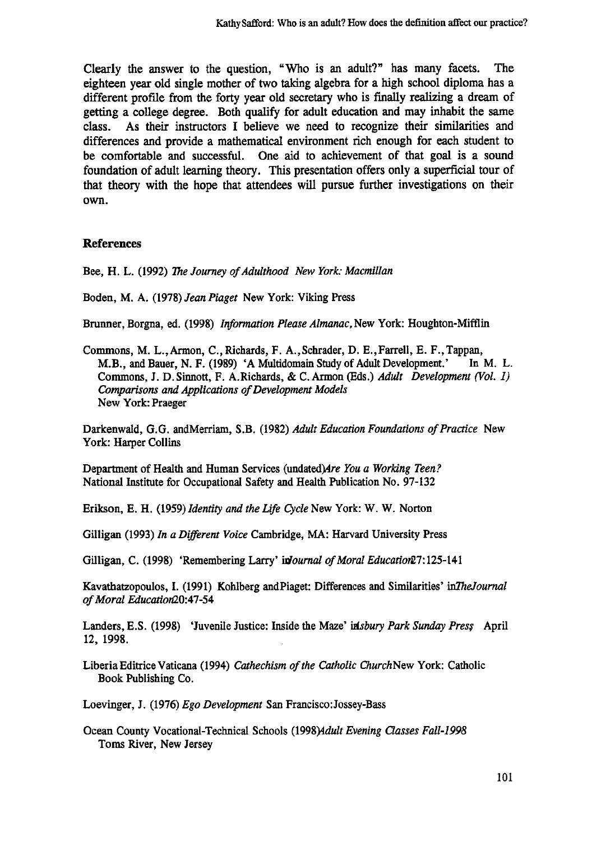**Clearly the answer to the question, "Who is an adult?" has many facets. The eighteen year old single mother of two taking algebra for a high school diploma has a different profile from the forty year old secretary who is finally realizing a dream of getting a college degree. Both qualify for adult education and may inhabit the same class. As their instructors I believe we need to recognize their similarities and differences and provide a mathematical environment rich enough for each student to be comfortable and successful. One aid to achievement of that goal is a sound foundation of adult learning theory. This presentation offers only a superficial tour of that theory with the hope that attendees will pursue further investigations on their own.**

#### **References**

**Bee, H. L. (1992)** *The Journey of Adulthood New York: Macmillan*

**Boden, M. A. (1978)** *Jean Piaget* **New York: Viking Press**

**Brunner, Borgna, ed. (1998)** *Information Please Almanac,* **New York: Houghton-Mifflin**

**Commons, M. L., Armon, C., Richards, F. A., Schrader, D. E., Farrell, E. F., Tappan, M.B., and Bauer, N. F. (1989) 'A Multidomain Study of Adult Development.' In M. L. Commons, J. D. Sinnott, F. A.Richards, & C. Armon (Eds.)** *Adult Development (Vol. 1) Comparisons and Applications of Development Models* **New York: Praeger**

**Darkenwald, G.G. andMerriam, S.B. (1982)** *Adult Education Foundations of Practice* **New York: Harper Collins**

**Department of Health and Human Services (undated) Are You a Working Teen? National Institute for Occupational Safety and Health Publication No. 97-132**

**Erikson, E. H. (1959)** *Identity and the Life Cycle* **New York: W. W. Norton**

**Gilligan (1993)** *In a Different Voice* **Cambridge, MA: Harvard University Press**

Gilligan, C. (1998) 'Remembering Larry' *inJournal of Moral Education* 27:125-141

**Kavathatzopoulos, L (1991) Kohlberg andPiaget: Differences and Similarities'** *inTheJournal of Moral Education20:47-54*

Landers, E.S. (1998) 'Juvenile Justice: Inside the Maze' *insbury Park Sunday Press* April **12, 1998.**

**Liberia Editrice Vaticana (1994)** *Cathechism of the Catholic ChurchNew* **York: Catholic Book Publishing Co.**

**Loevinger, J. (1976)** *Ego Development* **San Francisco:Jossey-Bass**

**Ocean County Vocational-Technical Schools (1998)4dult** *Evening Classes Fall-1998* **Toms River, New Jersey**